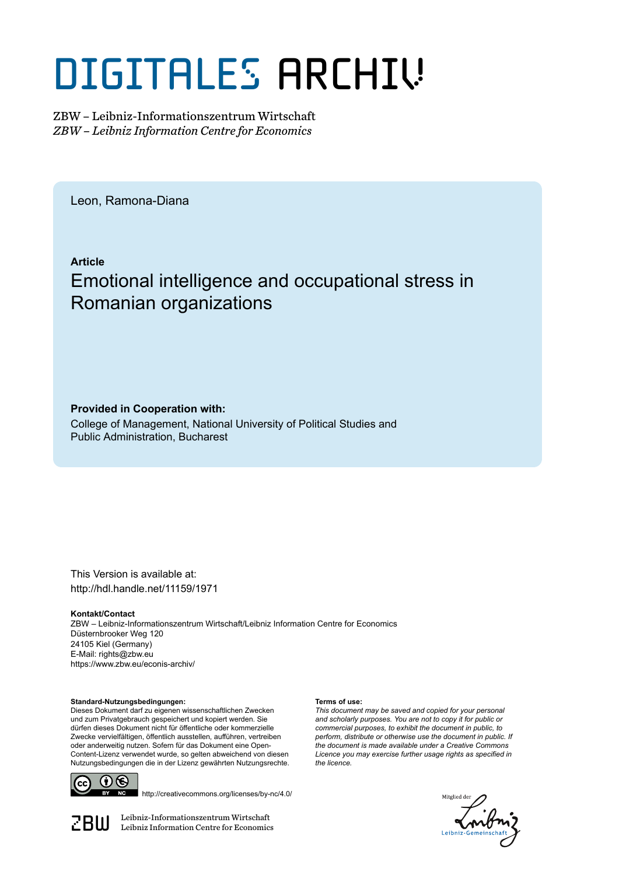# DIGITALES ARCHIV

ZBW – Leibniz-Informationszentrum Wirtschaft *ZBW – Leibniz Information Centre for Economics*

Leon, Ramona-Diana

**Article**

## Emotional intelligence and occupational stress in Romanian organizations

**Provided in Cooperation with:**

College of Management, National University of Political Studies and Public Administration, Bucharest

This Version is available at: http://hdl.handle.net/11159/1971

**Kontakt/Contact**

ZBW – Leibniz-Informationszentrum Wirtschaft/Leibniz Information Centre for Economics Düsternbrooker Weg 120 24105 Kiel (Germany) E-Mail: rights@zbw.eu https://www.zbw.eu/econis-archiv/

**Standard-Nutzungsbedingungen:**

Dieses Dokument darf zu eigenen wissenschaftlichen Zwecken und zum Privatgebrauch gespeichert und kopiert werden. Sie dürfen dieses Dokument nicht für öffentliche oder kommerzielle Zwecke vervielfältigen, öffentlich ausstellen, aufführen, vertreiben oder anderweitig nutzen. Sofern für das Dokument eine Open-Content-Lizenz verwendet wurde, so gelten abweichend von diesen Nutzungsbedingungen die in der Lizenz gewährten Nutzungsrechte.



http://creativecommons.org/licenses/by-nc/4.0/

 $\mathbb{Z} \text{B} \text{U}$  Leibniz-Informationszentrum Wirtschaft

#### **Terms of use:**

*This document may be saved and copied for your personal and scholarly purposes. You are not to copy it for public or commercial purposes, to exhibit the document in public, to perform, distribute or otherwise use the document in public. If the document is made available under a Creative Commons Licence you may exercise further usage rights as specified in the licence.*

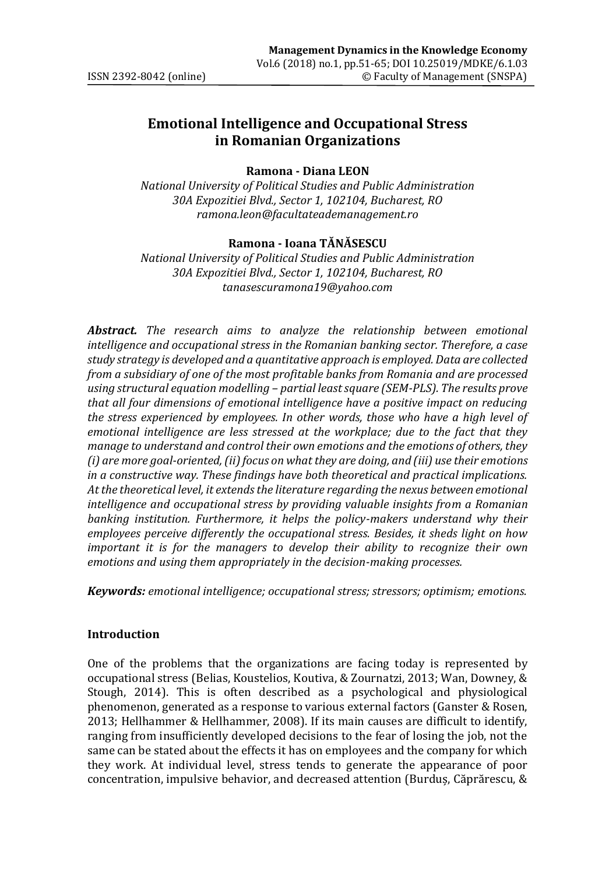#### **Emotional Intelligence and Occupational Stress in Romanian Organizations**

#### **Ramona - Diana LEON**

*National University of Political Studies and Public Administration 30A Expozitiei Blvd., Sector 1, 102104, Bucharest, RO ramona.leon@facultateademanagement.ro*

#### **Ramona - Ioana TĂNĂSESCU**

*National University of Political Studies and Public Administration 30A Expozitiei Blvd., Sector 1, 102104, Bucharest, RO tanasescuramona19@yahoo.com*

*Abstract. The research aims to analyze the relationship between emotional intelligence and occupational stress in the Romanian banking sector. Therefore, a case study strategy is developed and a quantitative approach is employed. Data are collected from a subsidiary of one of the most profitable banks from Romania and are processed using structural equation modelling – partial least square (SEM-PLS). The results prove that all four dimensions of emotional intelligence have a positive impact on reducing the stress experienced by employees. In other words, those who have a high level of emotional intelligence are less stressed at the workplace; due to the fact that they manage to understand and control their own emotions and the emotions of others, they (i) are more goal-oriented, (ii) focus on what they are doing, and (iii) use their emotions in a constructive way. These findings have both theoretical and practical implications. At the theoretical level, it extends the literature regarding the nexus between emotional intelligence and occupational stress by providing valuable insights from a Romanian banking institution. Furthermore, it helps the policy-makers understand why their employees perceive differently the occupational stress. Besides, it sheds light on how important it is for the managers to develop their ability to recognize their own emotions and using them appropriately in the decision-making processes.* 

*Keywords: emotional intelligence; occupational stress; stressors; optimism; emotions.*

#### **Introduction**

One of the problems that the organizations are facing today is represented by occupational stress (Belias, Koustelios, Koutiva, & Zournatzi, 2013; Wan, Downey, & Stough, 2014). This is often described as a psychological and physiological phenomenon, generated as a response to various external factors (Ganster & Rosen, 2013; Hellhammer & Hellhammer, 2008). If its main causes are difficult to identify, ranging from insufficiently developed decisions to the fear of losing the job, not the same can be stated about the effects it has on employees and the company for which they work. At individual level, stress tends to generate the appearance of poor concentration, impulsive behavior, and decreased attention (Burduș, Căprărescu, &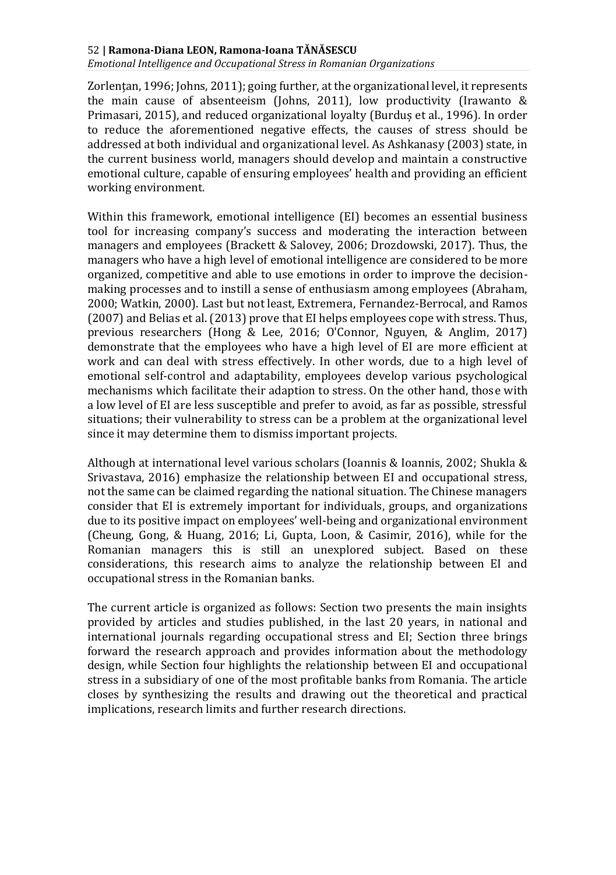*Emotional Intelligence and Occupational Stress in Romanian Organizations*

Zorlențan, 1996; Johns, 2011); going further, at the organizational level, it represents the main cause of absenteeism (Johns, 2011), low productivity (Irawanto  $\&$ Primasari, 2015), and reduced organizational loyalty (Burduș et al., 1996). In order to reduce the aforementioned negative effects, the causes of stress should be addressed at both individual and organizational level. As Ashkanasy (2003) state, in the current business world, managers should develop and maintain a constructive emotional culture, capable of ensuring employees' health and providing an efficient working environment.

Within this framework, emotional intelligence (EI) becomes an essential business tool for increasing company's success and moderating the interaction between managers and employees (Brackett & Salovey, 2006; Drozdowski, 2017). Thus, the managers who have a high level of emotional intelligence are considered to be more organized, competitive and able to use emotions in order to improve the decisionmaking processes and to instill a sense of enthusiasm among employees (Abraham, 2000; Watkin, 2000). Last but not least, Extremera, Fernandez-Berrocal, and Ramos (2007) and Belias et al. (2013) prove that EI helps employees cope with stress. Thus, previous researchers (Hong & Lee, 2016; O'Connor, Nguyen, & Anglim, 2017) demonstrate that the employees who have a high level of EI are more efficient at work and can deal with stress effectively. In other words, due to a high level of emotional self-control and adaptability, employees develop various psychological mechanisms which facilitate their adaption to stress. On the other hand, those with a low level of EI are less susceptible and prefer to avoid, as far as possible, stressful situations; their vulnerability to stress can be a problem at the organizational level since it may determine them to dismiss important projects.

Although at international level various scholars (Ioannis & Ioannis, 2002; Shukla & Srivastava, 2016) emphasize the relationship between EI and occupational stress, not the same can be claimed regarding the national situation. The Chinese managers consider that EI is extremely important for individuals, groups, and organizations due to its positive impact on employees' well-being and organizational environment (Cheung, Gong, & Huang, 2016; Li, Gupta, Loon, & Casimir, 2016), while for the Romanian managers this is still an unexplored subject. Based on these considerations, this research aims to analyze the relationship between EI and occupational stress in the Romanian banks.

The current article is organized as follows: Section two presents the main insights provided by articles and studies published, in the last 20 years, in national and international journals regarding occupational stress and EI; Section three brings forward the research approach and provides information about the methodology design, while Section four highlights the relationship between EI and occupational stress in a subsidiary of one of the most profitable banks from Romania. The article closes by synthesizing the results and drawing out the theoretical and practical implications, research limits and further research directions.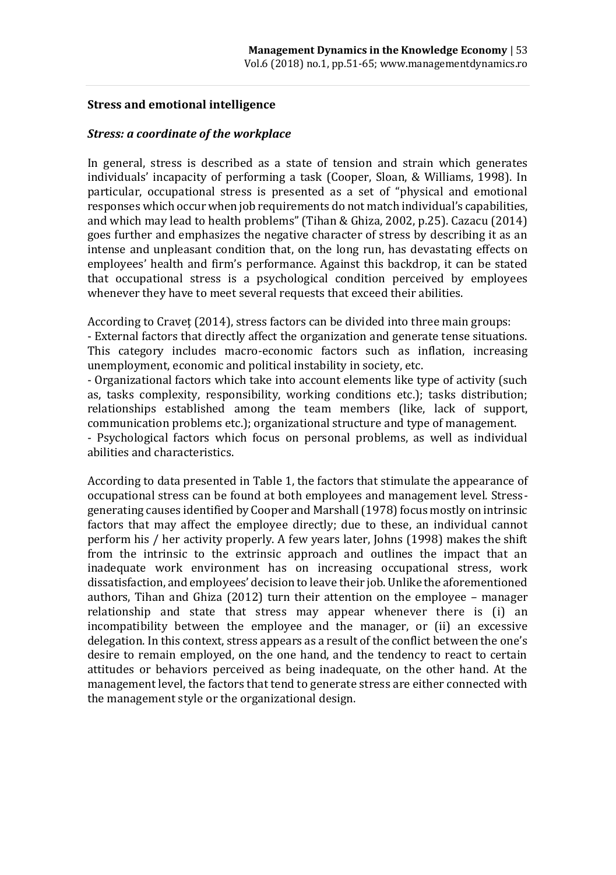#### **Stress and emotional intelligence**

#### *Stress: a coordinate of the workplace*

In general, stress is described as a state of tension and strain which generates individuals' incapacity of performing a task (Cooper, Sloan, & Williams, 1998). In particular, occupational stress is presented as a set of "physical and emotional responses which occur when job requirements do not match individual's capabilities, and which may lead to health problems" (Tihan & Ghiza, 2002, p.25). Cazacu (2014) goes further and emphasizes the negative character of stress by describing it as an intense and unpleasant condition that, on the long run, has devastating effects on employees' health and firm's performance. Against this backdrop, it can be stated that occupational stress is a psychological condition perceived by employees whenever they have to meet several requests that exceed their abilities.

According to Craveț (2014), stress factors can be divided into three main groups:

- External factors that directly affect the organization and generate tense situations. This category includes macro-economic factors such as inflation, increasing unemployment, economic and political instability in society, etc.

- Organizational factors which take into account elements like type of activity (such as, tasks complexity, responsibility, working conditions etc.); tasks distribution; relationships established among the team members (like, lack of support, communication problems etc.); organizational structure and type of management.

- Psychological factors which focus on personal problems, as well as individual abilities and characteristics.

According to data presented in Table 1, the factors that stimulate the appearance of occupational stress can be found at both employees and management level. Stressgenerating causes identified by Cooper and Marshall (1978) focus mostly on intrinsic factors that may affect the employee directly; due to these, an individual cannot perform his / her activity properly. A few years later, Johns (1998) makes the shift from the intrinsic to the extrinsic approach and outlines the impact that an inadequate work environment has on increasing occupational stress, work dissatisfaction, and employees' decision to leave their job. Unlike the aforementioned authors, Tihan and Ghiza (2012) turn their attention on the employee – manager relationship and state that stress may appear whenever there is (i) an incompatibility between the employee and the manager, or (ii) an excessive delegation. In this context, stress appears as a result of the conflict between the one's desire to remain employed, on the one hand, and the tendency to react to certain attitudes or behaviors perceived as being inadequate, on the other hand. At the management level, the factors that tend to generate stress are either connected with the management style or the organizational design.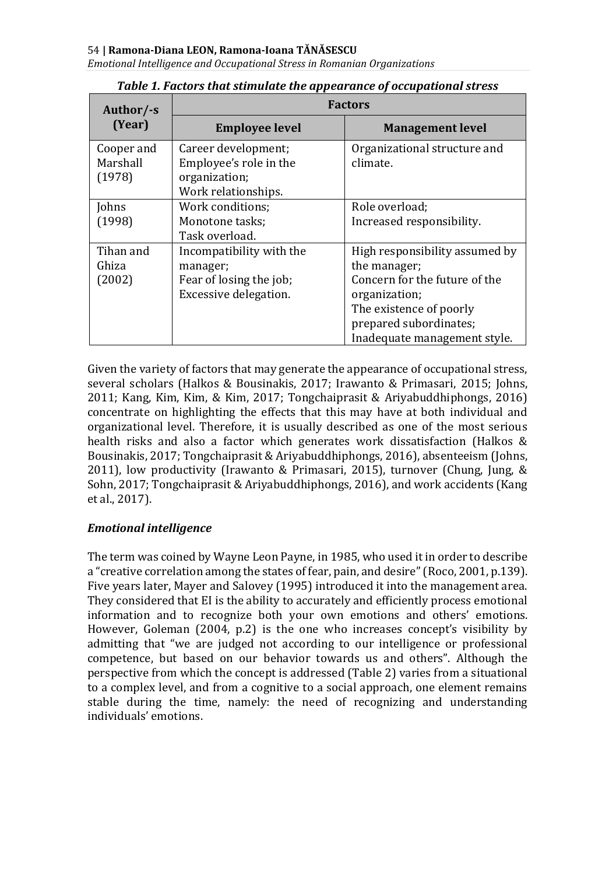*Emotional Intelligence and Occupational Stress in Romanian Organizations*

| Author/-s  | <b>Factors</b>           |                                |  |
|------------|--------------------------|--------------------------------|--|
| (Year)     | <b>Employee level</b>    | <b>Management level</b>        |  |
| Cooper and | Career development;      | Organizational structure and   |  |
| Marshall   | Employee's role in the   | climate.                       |  |
| (1978)     | organization;            |                                |  |
|            | Work relationships.      |                                |  |
| Johns      | Work conditions:         | Role overload;                 |  |
| (1998)     | Monotone tasks;          | Increased responsibility.      |  |
|            | Task overload.           |                                |  |
| Tihan and  | Incompatibility with the | High responsibility assumed by |  |
| Ghiza      | manager;                 | the manager;                   |  |
| (2002)     | Fear of losing the job;  | Concern for the future of the  |  |
|            | Excessive delegation.    | organization;                  |  |
|            |                          | The existence of poorly        |  |
|            |                          | prepared subordinates;         |  |
|            |                          | Inadequate management style.   |  |

#### *Table 1. Factors that stimulate the appearance of occupational stress*

Given the variety of factors that may generate the appearance of occupational stress, several scholars (Halkos & Bousinakis, 2017; Irawanto & Primasari, 2015; Johns, 2011; Kang, Kim, Kim, & Kim, 2017; Tongchaiprasit & Ariyabuddhiphongs, 2016) concentrate on highlighting the effects that this may have at both individual and organizational level. Therefore, it is usually described as one of the most serious health risks and also a factor which generates work dissatisfaction (Halkos & Bousinakis, 2017; Tongchaiprasit & Ariyabuddhiphongs, 2016), absenteeism (Johns, 2011), low productivity (Irawanto & Primasari, 2015), turnover (Chung, Jung, & Sohn, 2017; Tongchaiprasit & Ariyabuddhiphongs, 2016), and work accidents (Kang et al., 2017).

#### *Emotional intelligence*

The term was coined by Wayne Leon Payne, in 1985, who used it in order to describe a "creative correlation among the states of fear, pain, and desire" (Roco, 2001, p.139). Five years later, Mayer and Salovey (1995) introduced it into the management area. They considered that EI is the ability to accurately and efficiently process emotional information and to recognize both your own emotions and others' emotions. However, Goleman (2004, p.2) is the one who increases concept's visibility by admitting that "we are judged not according to our intelligence or professional competence, but based on our behavior towards us and others". Although the perspective from which the concept is addressed (Table 2) varies from a situational to a complex level, and from a cognitive to a social approach, one element remains stable during the time, namely: the need of recognizing and understanding individuals' emotions.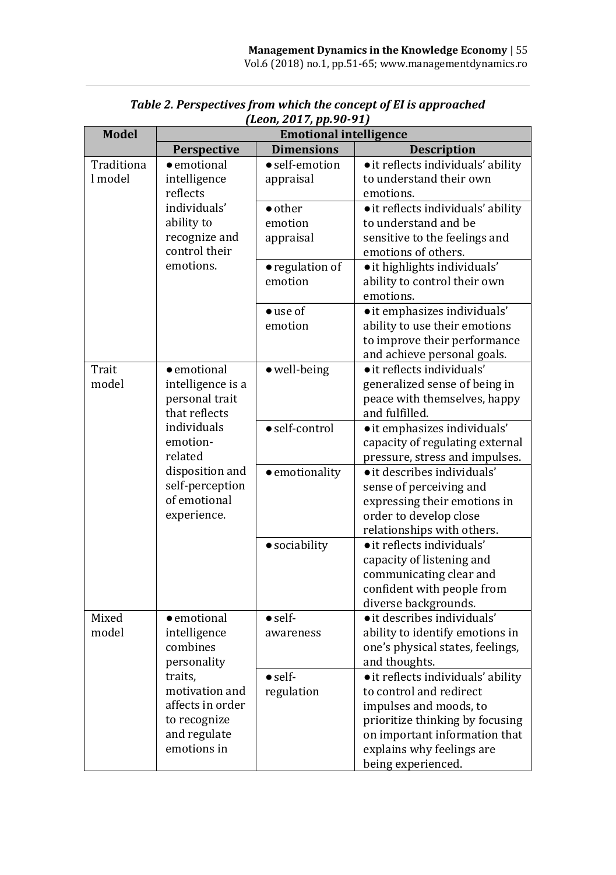| <b>Model</b>          | <b>Emotional intelligence</b>                                                                                                                                                          |                                                    |                                                                                                                                                                                                                |  |  |
|-----------------------|----------------------------------------------------------------------------------------------------------------------------------------------------------------------------------------|----------------------------------------------------|----------------------------------------------------------------------------------------------------------------------------------------------------------------------------------------------------------------|--|--|
|                       | Perspective                                                                                                                                                                            | <b>Dimensions</b>                                  | <b>Description</b>                                                                                                                                                                                             |  |  |
| Traditiona<br>l model | · emotional<br>intelligence<br>reflects<br>individuals'<br>ability to<br>recognize and<br>control their<br>emotions.                                                                   | · self-emotion<br>appraisal                        | • it reflects individuals' ability<br>to understand their own<br>emotions.                                                                                                                                     |  |  |
|                       |                                                                                                                                                                                        | · other<br>emotion<br>appraisal<br>· regulation of | • it reflects individuals' ability<br>to understand and be<br>sensitive to the feelings and<br>emotions of others.<br>• it highlights individuals'                                                             |  |  |
|                       |                                                                                                                                                                                        | emotion                                            | ability to control their own<br>emotions.                                                                                                                                                                      |  |  |
|                       |                                                                                                                                                                                        | $\bullet$ use of<br>emotion                        | · it emphasizes individuals'<br>ability to use their emotions<br>to improve their performance<br>and achieve personal goals.                                                                                   |  |  |
| Trait<br>model        | $\bullet$ emotional<br>intelligence is a<br>personal trait<br>that reflects<br>individuals<br>emotion-<br>related<br>disposition and<br>self-perception<br>of emotional<br>experience. | · well-being                                       | • it reflects individuals'<br>generalized sense of being in<br>peace with themselves, happy<br>and fulfilled.                                                                                                  |  |  |
|                       |                                                                                                                                                                                        | · self-control                                     | · it emphasizes individuals'<br>capacity of regulating external<br>pressure, stress and impulses.                                                                                                              |  |  |
|                       |                                                                                                                                                                                        | · emotionality                                     | • it describes individuals'<br>sense of perceiving and<br>expressing their emotions in<br>order to develop close<br>relationships with others.                                                                 |  |  |
|                       |                                                                                                                                                                                        | · sociability                                      | • it reflects individuals'<br>capacity of listening and<br>communicating clear and<br>confident with people from<br>diverse backgrounds.                                                                       |  |  |
| Mixed<br>model        | · emotional<br>intelligence<br>combines<br>personality<br>traits,<br>motivation and<br>affects in order<br>to recognize<br>and regulate<br>emotions in                                 | $\bullet$ self-<br>awareness                       | • it describes individuals'<br>ability to identify emotions in<br>one's physical states, feelings,<br>and thoughts.                                                                                            |  |  |
|                       |                                                                                                                                                                                        | $\bullet$ self-<br>regulation                      | · it reflects individuals' ability<br>to control and redirect<br>impulses and moods, to<br>prioritize thinking by focusing<br>on important information that<br>explains why feelings are<br>being experienced. |  |  |

*Table 2. Perspectives from which the concept of EI is approached (Leon, 2017, pp.90-91)*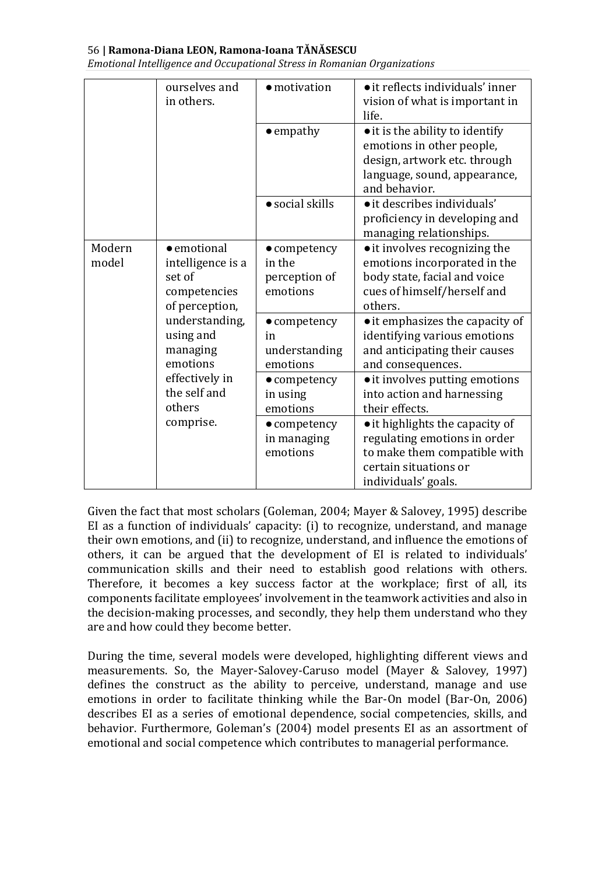*Emotional Intelligence and Occupational Stress in Romanian Organizations*

|                 | ourselves and<br>in others.                                                                                                                 | · motivation                                                | • it reflects individuals' inner<br>vision of what is important in<br>life.                                                                     |
|-----------------|---------------------------------------------------------------------------------------------------------------------------------------------|-------------------------------------------------------------|-------------------------------------------------------------------------------------------------------------------------------------------------|
|                 |                                                                                                                                             | $\bullet$ empathy                                           | • it is the ability to identify<br>emotions in other people,<br>design, artwork etc. through<br>language, sound, appearance,<br>and behavior.   |
|                 |                                                                                                                                             | • social skills                                             | • it describes individuals'<br>proficiency in developing and<br>managing relationships.                                                         |
| Modern<br>model | $\bullet$ emotional<br>intelligence is a<br>set of<br>competencies<br>of perception,<br>understanding,<br>using and<br>managing<br>emotions | $\bullet$ competency<br>in the<br>perception of<br>emotions | • it involves recognizing the<br>emotions incorporated in the<br>body state, facial and voice<br>cues of himself/herself and<br>others.         |
|                 |                                                                                                                                             | $\bullet$ competency<br>in<br>understanding<br>emotions     | • it emphasizes the capacity of<br>identifying various emotions<br>and anticipating their causes<br>and consequences.                           |
|                 | effectively in<br>the self and<br>others                                                                                                    | $\bullet$ competency<br>in using<br>emotions                | • it involves putting emotions<br>into action and harnessing<br>their effects.                                                                  |
|                 | comprise.                                                                                                                                   | • competency<br>in managing<br>emotions                     | • it highlights the capacity of<br>regulating emotions in order<br>to make them compatible with<br>certain situations or<br>individuals' goals. |

Given the fact that most scholars (Goleman, 2004; Mayer & Salovey, 1995) describe EI as a function of individuals' capacity: (i) to recognize, understand, and manage their own emotions, and (ii) to recognize, understand, and influence the emotions of others, it can be argued that the development of EI is related to individuals' communication skills and their need to establish good relations with others. Therefore, it becomes a key success factor at the workplace; first of all, its components facilitate employees' involvement in the teamwork activities and also in the decision-making processes, and secondly, they help them understand who they are and how could they become better.

During the time, several models were developed, highlighting different views and measurements. So, the Mayer-Salovey-Caruso model (Mayer & Salovey, 1997) defines the construct as the ability to perceive, understand, manage and use emotions in order to facilitate thinking while the Bar-On model (Bar-On, 2006) describes EI as a series of emotional dependence, social competencies, skills, and behavior. Furthermore, Goleman's (2004) model presents EI as an assortment of emotional and social competence which contributes to managerial performance.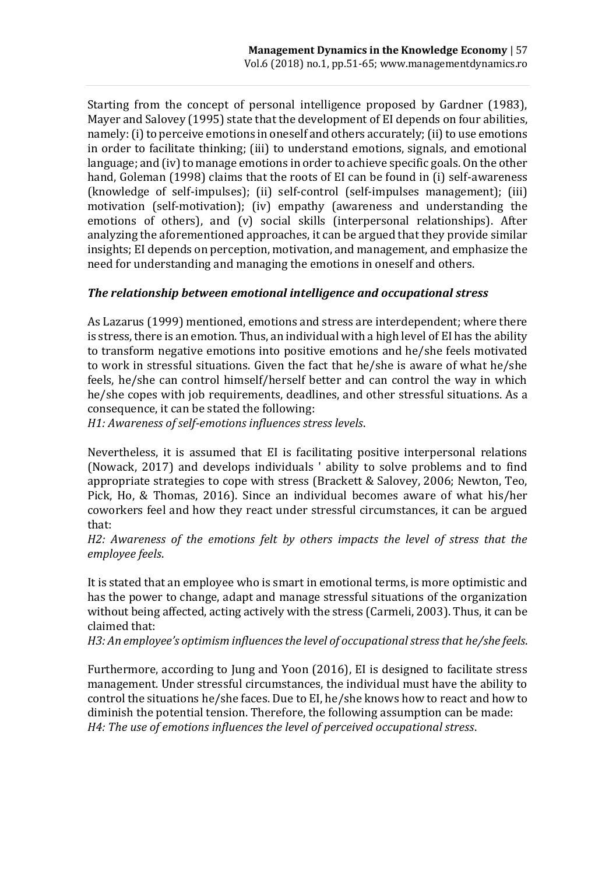Starting from the concept of personal intelligence proposed by Gardner (1983), Mayer and Salovey (1995) state that the development of EI depends on four abilities, namely: (i) to perceive emotions in oneself and others accurately; (ii) to use emotions in order to facilitate thinking; (iii) to understand emotions, signals, and emotional language; and (iv) to manage emotions in order to achieve specific goals. On the other hand, Goleman (1998) claims that the roots of EI can be found in (i) self-awareness (knowledge of self-impulses); (ii) self-control (self-impulses management); (iii) motivation (self-motivation); (iv) empathy (awareness and understanding the emotions of others), and (v) social skills (interpersonal relationships). After analyzing the aforementioned approaches, it can be argued that they provide similar insights; EI depends on perception, motivation, and management, and emphasize the need for understanding and managing the emotions in oneself and others.

#### *The relationship between emotional intelligence and occupational stress*

As Lazarus (1999) mentioned, emotions and stress are interdependent; where there is stress, there is an emotion. Thus, an individual with a high level of EI has the ability to transform negative emotions into positive emotions and he/she feels motivated to work in stressful situations. Given the fact that he/she is aware of what he/she feels, he/she can control himself/herself better and can control the way in which he/she copes with job requirements, deadlines, and other stressful situations. As a consequence, it can be stated the following:

*H1: Awareness of self-emotions influences stress levels*.

Nevertheless, it is assumed that EI is facilitating positive interpersonal relations (Nowack, 2017) and develops individuals ' ability to solve problems and to find appropriate strategies to cope with stress (Brackett & Salovey, 2006; Newton, Teo, Pick, Ho, & Thomas, 2016). Since an individual becomes aware of what his/her coworkers feel and how they react under stressful circumstances, it can be argued that:

*H2: Awareness of the emotions felt by others impacts the level of stress that the employee feels*.

It is stated that an employee who is smart in emotional terms, is more optimistic and has the power to change, adapt and manage stressful situations of the organization without being affected, acting actively with the stress (Carmeli, 2003). Thus, it can be claimed that:

*H3: An employee's optimism influences the level of occupational stress that he/she feels*.

Furthermore, according to Jung and Yoon (2016), EI is designed to facilitate stress management. Under stressful circumstances, the individual must have the ability to control the situations he/she faces. Due to EI, he/she knows how to react and how to diminish the potential tension. Therefore, the following assumption can be made: *H4: The use of emotions influences the level of perceived occupational stress*.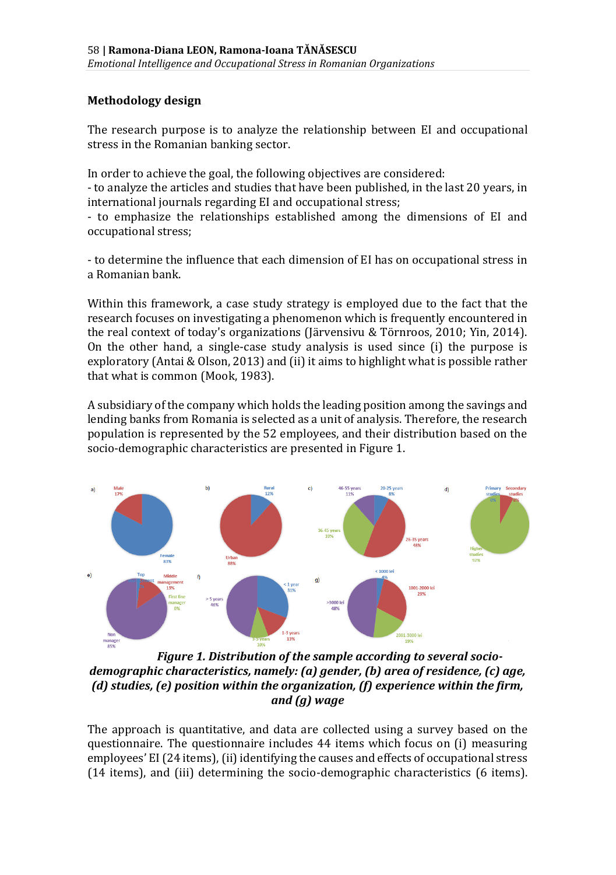#### **Methodology design**

The research purpose is to analyze the relationship between EI and occupational stress in the Romanian banking sector.

In order to achieve the goal, the following objectives are considered:

- to analyze the articles and studies that have been published, in the last 20 years, in international journals regarding EI and occupational stress;

- to emphasize the relationships established among the dimensions of EI and occupational stress;

- to determine the influence that each dimension of EI has on occupational stress in a Romanian bank.

Within this framework, a case study strategy is employed due to the fact that the research focuses on investigating a phenomenon which is frequently encountered in the real context of today's organizations (Järvensivu & Törnroos, 2010; Yin, 2014). On the other hand, a single-case study analysis is used since (i) the purpose is exploratory (Antai & Olson, 2013) and (ii) it aims to highlight what is possible rather that what is common (Mook, 1983).

A subsidiary of the company which holds the leading position among the savings and lending banks from Romania is selected as a unit of analysis. Therefore, the research population is represented by the 52 employees, and their distribution based on the socio-demographic characteristics are presented in Figure 1.



*Figure 1. Distribution of the sample according to several sociodemographic characteristics, namely: (a) gender, (b) area of residence, (c) age, (d) studies, (e) position within the organization, (f) experience within the firm, and (g) wage*

The approach is quantitative, and data are collected using a survey based on the questionnaire. The questionnaire includes 44 items which focus on (i) measuring employees' EI (24 items), (ii) identifying the causes and effects of occupational stress (14 items), and (iii) determining the socio-demographic characteristics (6 items).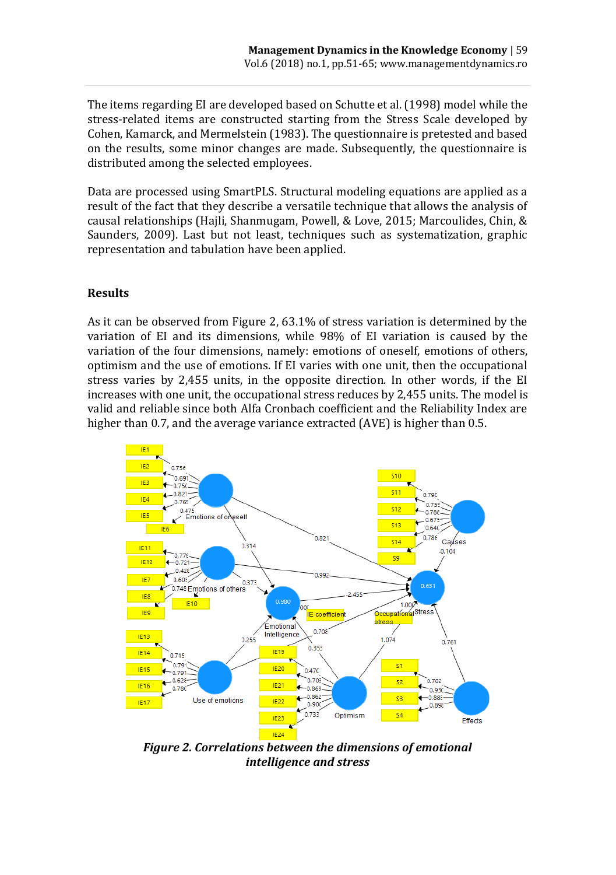The items regarding EI are developed based on Schutte et al. (1998) model while the stress-related items are constructed starting from the Stress Scale developed by Cohen, Kamarck, and Mermelstein (1983). The questionnaire is pretested and based on the results, some minor changes are made. Subsequently, the questionnaire is distributed among the selected employees.

Data are processed using SmartPLS. Structural modeling equations are applied as a result of the fact that they describe a versatile technique that allows the analysis of causal relationships (Hajli, Shanmugam, Powell, & Love, 2015; Marcoulides, Chin, & Saunders, 2009). Last but not least, techniques such as systematization, graphic representation and tabulation have been applied.

#### **Results**

As it can be observed from Figure 2, 63.1% of stress variation is determined by the variation of EI and its dimensions, while 98% of EI variation is caused by the variation of the four dimensions, namely: emotions of oneself, emotions of others, optimism and the use of emotions. If EI varies with one unit, then the occupational stress varies by 2,455 units, in the opposite direction. In other words, if the EI increases with one unit, the occupational stress reduces by 2,455 units. The model is valid and reliable since both Alfa Cronbach coefficient and the Reliability Index are higher than 0.7, and the average variance extracted (AVE) is higher than 0.5.



*Figure 2. Correlations between the dimensions of emotional intelligence and stress*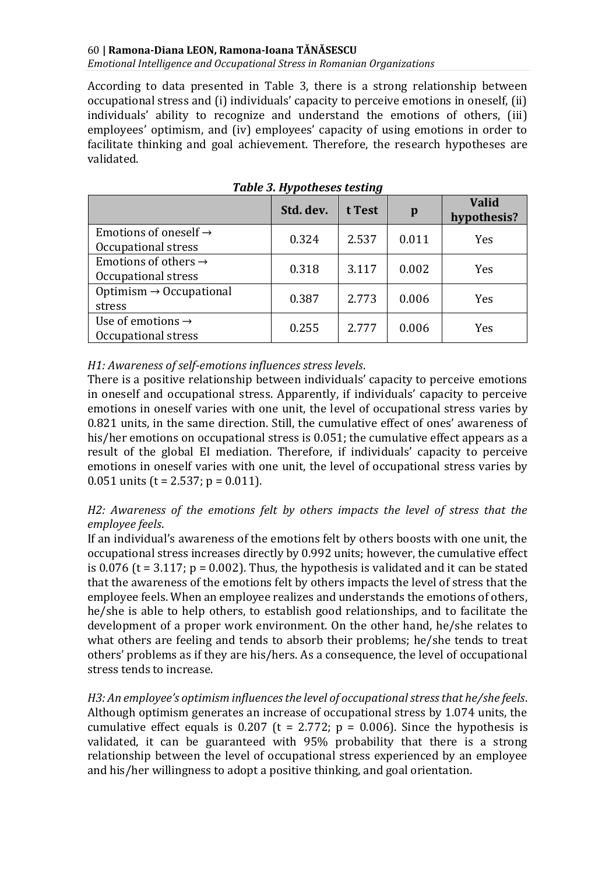*Emotional Intelligence and Occupational Stress in Romanian Organizations*

According to data presented in Table 3, there is a strong relationship between occupational stress and (i) individuals' capacity to perceive emotions in oneself, (ii) individuals' ability to recognize and understand the emotions of others, (iii) employees' optimism, and (iv) employees' capacity of using emotions in order to facilitate thinking and goal achievement. Therefore, the research hypotheses are validated.

|                                                          | Std. dev. | t Test | p     | <b>Valid</b><br>hypothesis? |
|----------------------------------------------------------|-----------|--------|-------|-----------------------------|
| Emotions of oneself $\rightarrow$<br>Occupational stress | 0.324     | 2.537  | 0.011 | Yes                         |
| Emotions of others $\rightarrow$<br>Occupational stress  | 0.318     | 3.117  | 0.002 | Yes                         |
| Optimism $\rightarrow$ Occupational<br>stress            | 0.387     | 2.773  | 0.006 | Yes                         |
| Use of emotions $\rightarrow$<br>Occupational stress     | 0.255     | 2.777  | 0.006 | Yes                         |

*Table 3. Hypotheses testing*

*H1: Awareness of self-emotions influences stress levels*.

There is a positive relationship between individuals' capacity to perceive emotions in oneself and occupational stress. Apparently, if individuals' capacity to perceive emotions in oneself varies with one unit, the level of occupational stress varies by 0.821 units, in the same direction. Still, the cumulative effect of ones' awareness of his/her emotions on occupational stress is 0.051; the cumulative effect appears as a result of the global EI mediation. Therefore, if individuals' capacity to perceive emotions in oneself varies with one unit, the level of occupational stress varies by 0.051 units ( $t = 2.537$ ;  $p = 0.011$ ).

*H2: Awareness of the emotions felt by others impacts the level of stress that the employee feels*.

If an individual's awareness of the emotions felt by others boosts with one unit, the occupational stress increases directly by 0.992 units; however, the cumulative effect is 0.076 ( $t = 3.117$ ;  $p = 0.002$ ). Thus, the hypothesis is validated and it can be stated that the awareness of the emotions felt by others impacts the level of stress that the employee feels. When an employee realizes and understands the emotions of others, he/she is able to help others, to establish good relationships, and to facilitate the development of a proper work environment. On the other hand, he/she relates to what others are feeling and tends to absorb their problems; he/she tends to treat others' problems as if they are his/hers. As a consequence, the level of occupational stress tends to increase.

*H3: An employee's optimism influences the level of occupational stress that he/she feels*. Although optimism generates an increase of occupational stress by 1.074 units, the cumulative effect equals is 0.207 (t = 2.772;  $p = 0.006$ ). Since the hypothesis is validated, it can be guaranteed with 95% probability that there is a strong relationship between the level of occupational stress experienced by an employee and his/her willingness to adopt a positive thinking, and goal orientation.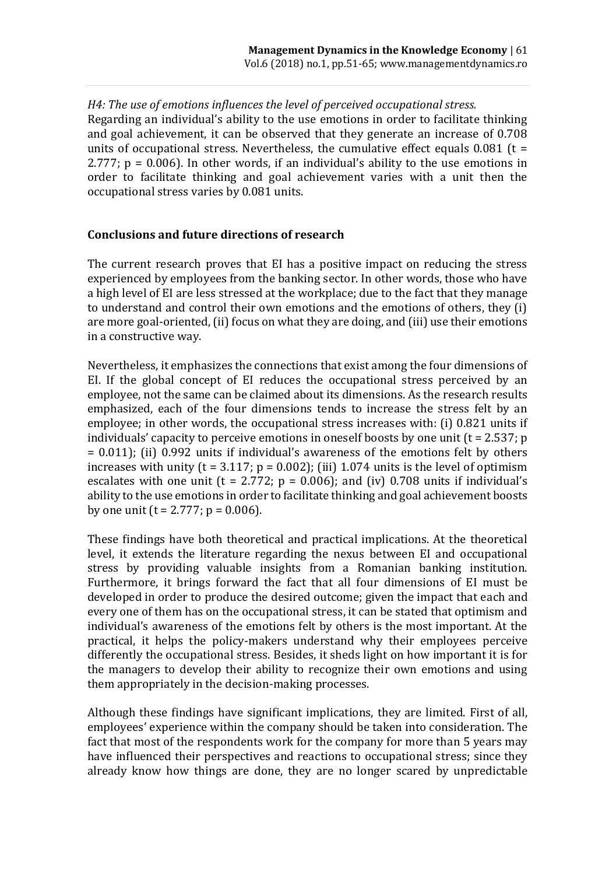*H4: The use of emotions influences the level of perceived occupational stress.* Regarding an individual's ability to the use emotions in order to facilitate thinking and goal achievement, it can be observed that they generate an increase of 0.708 units of occupational stress. Nevertheless, the cumulative effect equals  $0.081$  (t = 2.777; p = 0.006). In other words, if an individual's ability to the use emotions in order to facilitate thinking and goal achievement varies with a unit then the occupational stress varies by 0.081 units.

#### **Conclusions and future directions of research**

The current research proves that EI has a positive impact on reducing the stress experienced by employees from the banking sector. In other words, those who have a high level of EI are less stressed at the workplace; due to the fact that they manage to understand and control their own emotions and the emotions of others, they (i) are more goal-oriented, (ii) focus on what they are doing, and (iii) use their emotions in a constructive way.

Nevertheless, it emphasizes the connections that exist among the four dimensions of EI. If the global concept of EI reduces the occupational stress perceived by an employee, not the same can be claimed about its dimensions. As the research results emphasized, each of the four dimensions tends to increase the stress felt by an employee; in other words, the occupational stress increases with: (i) 0.821 units if individuals' capacity to perceive emotions in oneself boosts by one unit  $(t = 2.537; p)$  $= 0.011$ ; (ii) 0.992 units if individual's awareness of the emotions felt by others increases with unity ( $t = 3.117$ ;  $p = 0.002$ ); (iii) 1.074 units is the level of optimism escalates with one unit ( $t = 2.772$ ;  $p = 0.006$ ); and (iv) 0.708 units if individual's ability to the use emotions in order to facilitate thinking and goal achievement boosts by one unit  $(t = 2.777; p = 0.006)$ .

These findings have both theoretical and practical implications. At the theoretical level, it extends the literature regarding the nexus between EI and occupational stress by providing valuable insights from a Romanian banking institution. Furthermore, it brings forward the fact that all four dimensions of EI must be developed in order to produce the desired outcome; given the impact that each and every one of them has on the occupational stress, it can be stated that optimism and individual's awareness of the emotions felt by others is the most important. At the practical, it helps the policy-makers understand why their employees perceive differently the occupational stress. Besides, it sheds light on how important it is for the managers to develop their ability to recognize their own emotions and using them appropriately in the decision-making processes.

Although these findings have significant implications, they are limited. First of all, employees' experience within the company should be taken into consideration. The fact that most of the respondents work for the company for more than 5 years may have influenced their perspectives and reactions to occupational stress; since they already know how things are done, they are no longer scared by unpredictable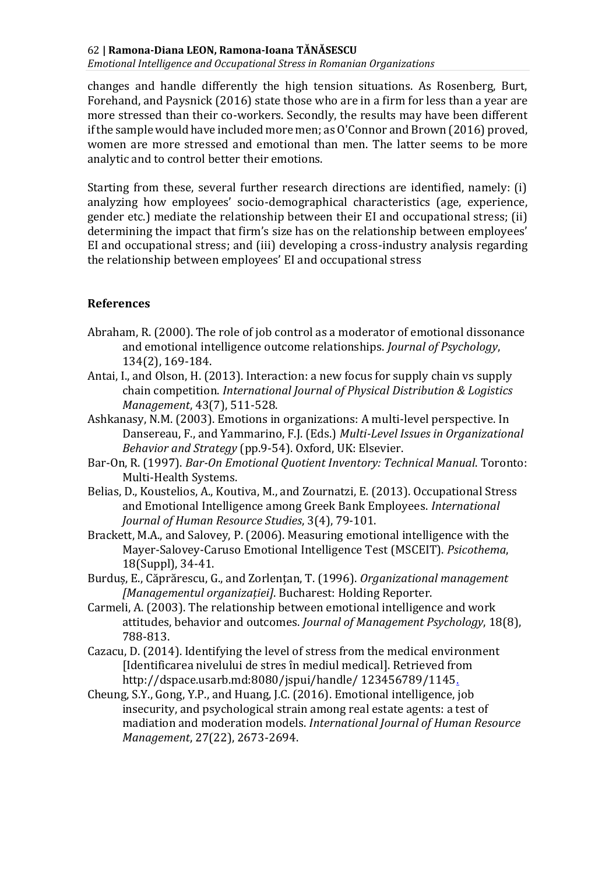*Emotional Intelligence and Occupational Stress in Romanian Organizations*

changes and handle differently the high tension situations. As Rosenberg, Burt, Forehand, and Paysnick (2016) state those who are in a firm for less than a year are more stressed than their co-workers. Secondly, the results may have been different if the sample would have included more men; as O'Connor and Brown (2016) proved, women are more stressed and emotional than men. The latter seems to be more analytic and to control better their emotions.

Starting from these, several further research directions are identified, namely: (i) analyzing how employees' socio-demographical characteristics (age, experience, gender etc.) mediate the relationship between their EI and occupational stress; (ii) determining the impact that firm's size has on the relationship between employees' EI and occupational stress; and (iii) developing a cross-industry analysis regarding the relationship between employees' EI and occupational stress

#### **References**

- Abraham, R. (2000). The role of job control as a moderator of emotional dissonance and emotional intelligence outcome relationships. *Journal of Psychology*, 134(2), 169-184.
- Antai, I., and Olson, H. (2013). Interaction: a new focus for supply chain vs supply chain competition. *International Journal of Physical Distribution & Logistics Management*, 43(7), 511-528.
- Ashkanasy, N.M. (2003). Emotions in organizations: A multi-level perspective. In Dansereau, F., and Yammarino, F.J. (Eds.) *Multi-Level Issues in Organizational Behavior and Strategy* (pp.9-54). Oxford, UK: Elsevier.
- Bar-On, R. (1997). *Bar-On Emotional Quotient Inventory: Technical Manual*. Toronto: Multi-Health Systems.
- Belias, D., Koustelios, A., Koutiva, M., and Zournatzi, E. (2013). Occupational Stress and Emotional Intelligence among Greek Bank Employees. *International Journal of Human Resource Studies*, 3(4), 79-101.
- Brackett, M.A., and Salovey, P. (2006). Measuring emotional intelligence with the Mayer-Salovey-Caruso Emotional Intelligence Test (MSCEIT). *Psicothema*, 18(Suppl), 34-41.
- Burduș, E., Căprărescu, G., and Zorlențan, T. (1996). *Organizational management [Managementul organizației]*. Bucharest: Holding Reporter.
- Carmeli, A. (2003). The relationship between emotional intelligence and work attitudes, behavior and outcomes. *Journal of Management Psychology*, 18(8), 788-813.
- Cazacu, D. (2014). Identifying the level of stress from the medical environment [Identificarea nivelului de stres în mediul medical]. Retrieved from http://dspace.usarb.md:8080/jspui/handle/ 123456789/1145.
- Cheung, S.Y., Gong, Y.P., and Huang, J.C. (2016). Emotional intelligence, job insecurity, and psychological strain among real estate agents: a test of madiation and moderation models. *International Journal of Human Resource Management*, 27(22), 2673-2694.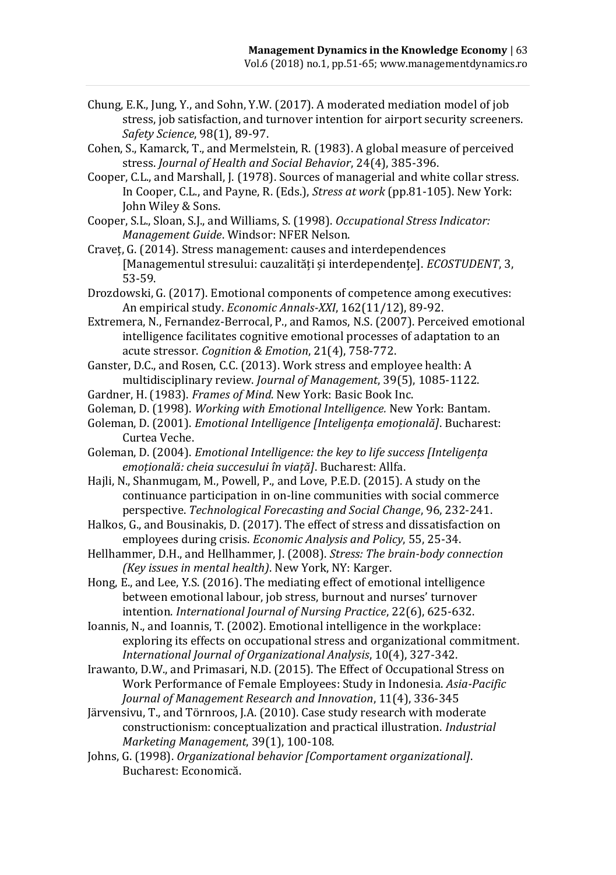- Chung, E.K., Jung, Y., and Sohn, Y.W. (2017). A moderated mediation model of job stress, job satisfaction, and turnover intention for airport security screeners. *Safety Science*, 98(1), 89-97.
- Cohen, S., Kamarck, T., and Mermelstein, R. (1983). A global measure of perceived stress. *Journal of Health and Social Behavior*, 24(4), 385-396.
- Cooper, C.L., and Marshall, J. (1978). Sources of managerial and white collar stress. In Cooper, C.L., and Payne, R. (Eds.), *Stress at work* (pp.81-105). New York: John Wiley & Sons.
- Cooper, S.L., Sloan, S.J., and Williams, S. (1998). *Occupational Stress Indicator: Management Guide*. Windsor: NFER Nelson.
- Craveț, G. (2014). Stress management: causes and interdependences [Managementul stresului: cauzalități și interdependențe]. *ECOSTUDENT*, 3, 53-59.
- Drozdowski, G. (2017). Emotional components of competence among executives: An empirical study. *Economic Annals-XXI*, 162(11/12), 89-92.
- Extremera, N., Fernandez-Berrocal, P., and Ramos, N.S. (2007). Perceived emotional intelligence facilitates cognitive emotional processes of adaptation to an acute stressor. *Cognition & Emotion*, 21(4), 758-772.
- Ganster, D.C., and Rosen, C.C. (2013). Work stress and employee health: A multidisciplinary review. *Journal of Management*, 39(5), 1085-1122.
- Gardner, H. (1983). *Frames of Mind*. New York: Basic Book Inc.
- Goleman, D. (1998). *Working with Emotional Intelligence.* New York: Bantam.
- Goleman, D. (2001). *Emotional Intelligence [Inteligența emoțională]*. Bucharest: Curtea Veche.
- Goleman, D. (2004). *Emotional Intelligence: the key to life success [Inteligența emoțională: cheia succesului în viață]*. Bucharest: Allfa.
- Hajli, N., Shanmugam, M., Powell, P., and Love, P.E.D. (2015). A study on the continuance participation in on-line communities with social commerce perspective. *Technological Forecasting and Social Change*, 96, 232-241.
- Halkos, G., and Bousinakis, D. (2017). The effect of stress and dissatisfaction on employees during crisis. *Economic Analysis and Policy*, 55, 25-34.
- Hellhammer, D.H., and Hellhammer, J. (2008). *Stress: The brain-body connection (Key issues in mental health)*. New York, NY: Karger.
- Hong, E., and Lee, Y.S. (2016). The mediating effect of emotional intelligence between emotional labour, job stress, burnout and nurses' turnover intention. *International Journal of Nursing Practice*, 22(6), 625-632.
- Ioannis, N., and Ioannis, T. (2002). Emotional intelligence in the workplace: exploring its effects on occupational stress and organizational commitment. *International Journal of Organizational Analysis*, 10(4), 327-342.
- Irawanto, D.W., and Primasari, N.D. (2015). The Effect of Occupational Stress on Work Performance of Female Employees: Study in Indonesia. *Asia-Pacific Journal of Management Research and Innovation*, 11(4), 336-345
- Järvensivu, T., and Törnroos, J.A. (2010). Case study research with moderate constructionism: conceptualization and practical illustration. *Industrial Marketing Management*, 39(1), 100-108.
- Johns, G. (1998). *Organizational behavior [Comportament organizational]*. Bucharest: Economică.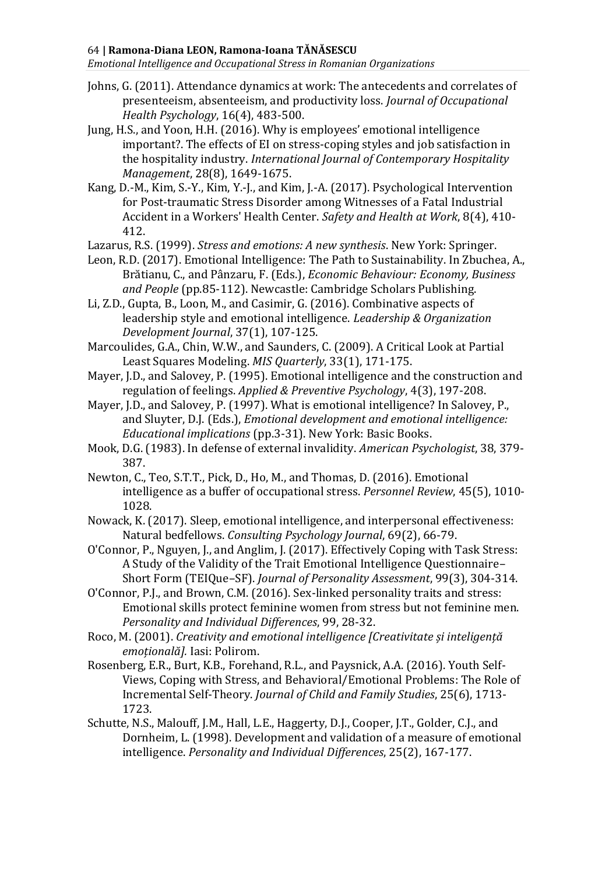*Emotional Intelligence and Occupational Stress in Romanian Organizations*

- Johns, G. (2011). Attendance dynamics at work: The antecedents and correlates of presenteeism, absenteeism, and productivity loss. *Journal of Occupational Health Psychology*, 16(4), 483-500.
- Jung, H.S., and Yoon, H.H. (2016). Why is employees' emotional intelligence important?. The effects of EI on stress-coping styles and job satisfaction in the hospitality industry. *International Journal of Contemporary Hospitality Management*, 28(8), 1649-1675.
- Kang, D.-M., Kim, S.-Y., Kim, Y.-J., and Kim, J.-A. (2017). Psychological Intervention for Post-traumatic Stress Disorder among Witnesses of a Fatal Industrial Accident in a Workers' Health Center. *Safety and Health at Work*, 8(4), 410- 412.
- Lazarus, R.S. (1999). *Stress and emotions: A new synthesis*. New York: Springer.
- Leon, R.D. (2017). Emotional Intelligence: The Path to Sustainability. In Zbuchea, A., Brătianu, C., and Pânzaru, F. (Eds.), *Economic Behaviour: Economy, Business and People* (pp.85-112). Newcastle: Cambridge Scholars Publishing.
- Li, Z.D., Gupta, B., Loon, M., and Casimir, G. (2016). Combinative aspects of leadership style and emotional intelligence. *Leadership & Organization Development Journal*, 37(1), 107-125.
- Marcoulides, G.A., Chin, W.W., and Saunders, C. (2009). A Critical Look at Partial Least Squares Modeling. *MIS Quarterly*, 33(1), 171-175.
- Mayer, J.D., and Salovey, P. (1995). Emotional intelligence and the construction and regulation of feelings. *Applied & Preventive Psychology*, 4(3), 197-208.
- Mayer, J.D., and Salovey, P. (1997). What is emotional intelligence? In Salovey, P., and Sluyter, D.J. (Eds.), *Emotional development and emotional intelligence: Educational implications* (pp.3-31). New York: Basic Books.
- Mook, D.G. (1983). In defense of external invalidity. *American Psychologist*, 38, 379- 387.
- Newton, C., Teo, S.T.T., Pick, D., Ho, M., and Thomas, D. (2016). Emotional intelligence as a buffer of occupational stress. *Personnel Review*, 45(5), 1010- 1028.
- Nowack, K. (2017). Sleep, emotional intelligence, and interpersonal effectiveness: Natural bedfellows. *Consulting Psychology Journal*, 69(2), 66-79.
- O'Connor, P., Nguyen, J., and Anglim, J. (2017). Effectively Coping with Task Stress: A Study of the Validity of the Trait Emotional Intelligence Questionnaire– Short Form (TEIQue–SF). *Journal of Personality Assessment*, 99(3), 304-314.
- O'Connor, P.J., and Brown, C.M. (2016). Sex-linked personality traits and stress: Emotional skills protect feminine women from stress but not feminine men. *Personality and Individual Differences*, 99, 28-32.
- Roco, M. (2001). *Creativity and emotional intelligence [Creativitate și inteligență emoțională].* Iasi: Polirom.
- Rosenberg, E.R., Burt, K.B., Forehand, R.L., and Paysnick, A.A. (2016). Youth Self-Views, Coping with Stress, and Behavioral/Emotional Problems: The Role of Incremental Self-Theory. *Journal of Child and Family Studies*, 25(6), 1713- 1723.
- Schutte, N.S., Malouff, J.M., Hall, L.E., Haggerty, D.J., Cooper, J.T., Golder, C.J., and Dornheim, L. (1998). Development and validation of a measure of emotional intelligence. *Personality and Individual Differences*, 25(2), 167-177.